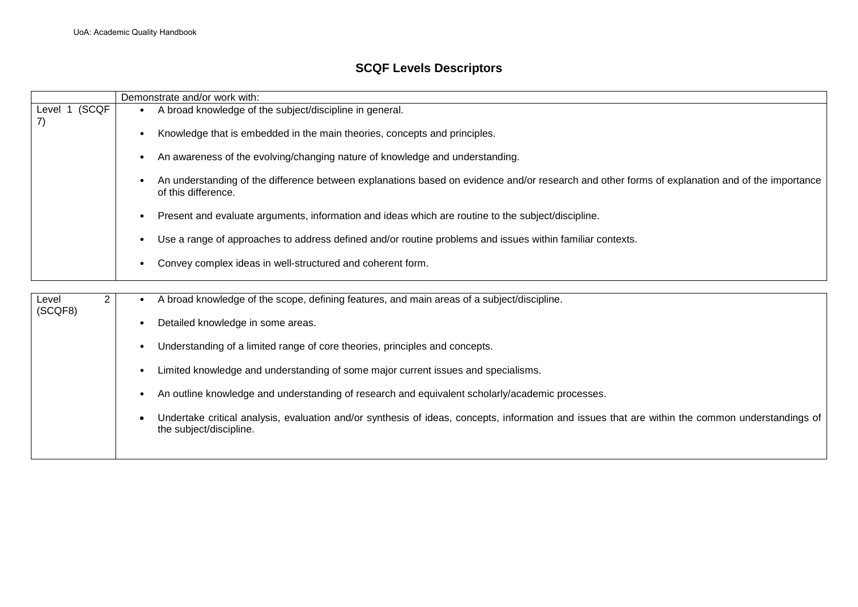## **SCQF Levels Descriptors**

|                  | Demonstrate and/or work with: |           |                                                                                                                                                                             |
|------------------|-------------------------------|-----------|-----------------------------------------------------------------------------------------------------------------------------------------------------------------------------|
| Level 1<br>7)    | (SCQF                         |           | A broad knowledge of the subject/discipline in general.                                                                                                                     |
|                  |                               | $\bullet$ | Knowledge that is embedded in the main theories, concepts and principles.                                                                                                   |
|                  |                               | ٠         | An awareness of the evolving/changing nature of knowledge and understanding.                                                                                                |
|                  |                               |           | An understanding of the difference between explanations based on evidence and/or research and other forms of explanation and of the importance<br>of this difference.       |
|                  |                               | $\bullet$ | Present and evaluate arguments, information and ideas which are routine to the subject/discipline.                                                                          |
|                  |                               | $\bullet$ | Use a range of approaches to address defined and/or routine problems and issues within familiar contexts.                                                                   |
|                  |                               | $\bullet$ | Convey complex ideas in well-structured and coherent form.                                                                                                                  |
|                  |                               |           |                                                                                                                                                                             |
| Level<br>(SCQF8) | $\overline{2}$                |           | A broad knowledge of the scope, defining features, and main areas of a subject/discipline.                                                                                  |
|                  |                               | ٠         | Detailed knowledge in some areas.                                                                                                                                           |
|                  |                               | ٠         | Understanding of a limited range of core theories, principles and concepts.                                                                                                 |
|                  |                               | $\bullet$ | Limited knowledge and understanding of some major current issues and specialisms.                                                                                           |
|                  |                               | ٠         | An outline knowledge and understanding of research and equivalent scholarly/academic processes.                                                                             |
|                  |                               |           | Undertake critical analysis, evaluation and/or synthesis of ideas, concepts, information and issues that are within the common understandings of<br>the subject/discipline. |
|                  |                               |           |                                                                                                                                                                             |